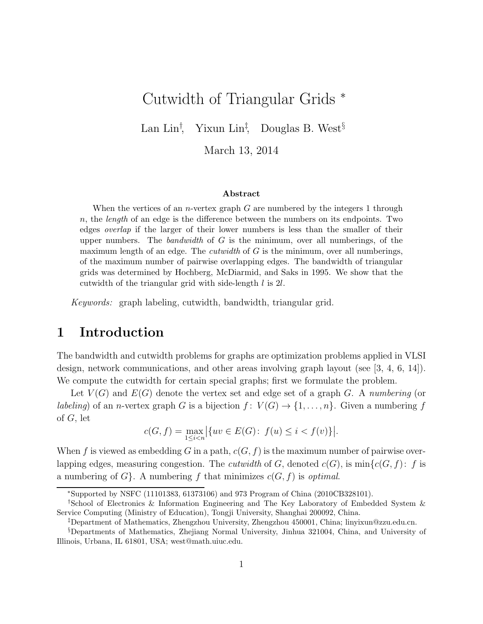# Cutwidth of Triangular Grids <sup>∗</sup>

Lan Lin<sup>†</sup>, Yixun Lin<sup>‡</sup>, Douglas B. West<sup>§</sup>

March 13, 2014

#### Abstract

When the vertices of an *n*-vertex graph  $G$  are numbered by the integers 1 through  $n$ , the *length* of an edge is the difference between the numbers on its endpoints. Two edges overlap if the larger of their lower numbers is less than the smaller of their upper numbers. The bandwidth of  $G$  is the minimum, over all numberings, of the maximum length of an edge. The *cutwidth* of  $G$  is the minimum, over all numberings, of the maximum number of pairwise overlapping edges. The bandwidth of triangular grids was determined by Hochberg, McDiarmid, and Saks in 1995. We show that the cutwidth of the triangular grid with side-length l is 2l.

*Keywords:* graph labeling, cutwidth, bandwidth, triangular grid.

### 1 Introduction

The bandwidth and cutwidth problems for graphs are optimization problems applied in VLSI design, network communications, and other areas involving graph layout (see [3, 4, 6, 14]). We compute the cutwidth for certain special graphs; first we formulate the problem.

Let V (G) and E(G) denote the vertex set and edge set of a graph G. A *numbering* (or *labeling*) of an *n*-vertex graph G is a bijection  $f: V(G) \to \{1, ..., n\}$ . Given a numbering f of G, let

$$
c(G, f) = \max_{1 \le i < n} \left| \{ uv \in E(G) \colon f(u) \le i < f(v) \} \right|.
$$

When f is viewed as embedding G in a path,  $c(G, f)$  is the maximum number of pairwise overlapping edges, measuring congestion. The *cutwidth* of G, denoted  $c(G)$ , is  $\min\{c(G, f): f$  is a numbering of  $G$ . A numbering f that minimizes  $c(G, f)$  is *optimal*.

<sup>∗</sup>Supported by NSFC (11101383, 61373106) and 973 Program of China (2010CB328101).

<sup>†</sup>School of Electronics & Information Engineering and The Key Laboratory of Embedded System & Service Computing (Ministry of Education), Tongji University, Shanghai 200092, China.

<sup>‡</sup>Department of Mathematics, Zhengzhou University, Zhengzhou 450001, China; linyixun@zzu.edu.cn.

<sup>§</sup>Departments of Mathematics, Zhejiang Normal University, Jinhua 321004, China, and University of Illinois, Urbana, IL 61801, USA; west@math.uiuc.edu.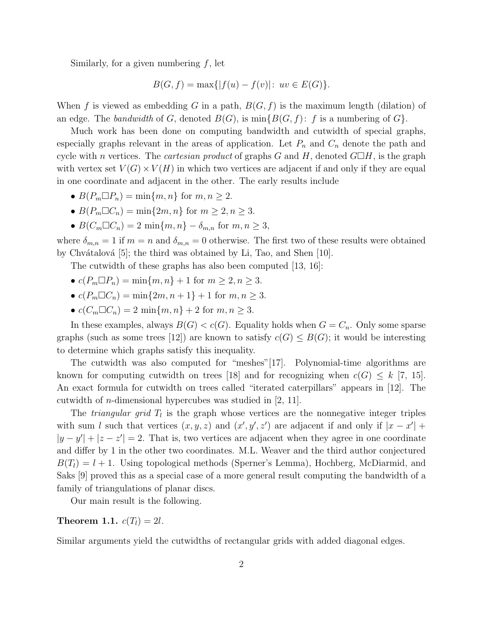Similarly, for a given numbering  $f$ , let

$$
B(G, f) = \max\{|f(u) - f(v)| : uv \in E(G)\}.
$$

When f is viewed as embedding G in a path,  $B(G, f)$  is the maximum length (dilation) of an edge. The *bandwidth* of G, denoted  $B(G)$ , is  $\min\{B(G, f): f$  is a numbering of  $G\}$ .

Much work has been done on computing bandwidth and cutwidth of special graphs, especially graphs relevant in the areas of application. Let  $P_n$  and  $C_n$  denote the path and cycle with *n* vertices. The *cartesian product* of graphs G and H, denoted  $G\Box H$ , is the graph with vertex set  $V(G) \times V(H)$  in which two vertices are adjacent if and only if they are equal in one coordinate and adjacent in the other. The early results include

- $B(P_m \Box P_n) = \min\{m, n\}$  for  $m, n \geq 2$ .
- $B(P_m \Box C_n) = \min\{2m, n\}$  for  $m \geq 2, n \geq 3$ .
- $B(C_m \Box C_n) = 2 \min\{m, n\} \delta_{m,n}$  for  $m, n \geq 3$ ,

where  $\delta_{m,n} = 1$  if  $m = n$  and  $\delta_{m,n} = 0$  otherwise. The first two of these results were obtained by Chvátalová  $[5]$ ; the third was obtained by Li, Tao, and Shen  $[10]$ .

The cutwidth of these graphs has also been computed [13, 16]:

- $c(P_m \Box P_n) = \min\{m, n\} + 1$  for  $m \geq 2, n \geq 3$ .
- $c(P_m \Box C_n) = \min\{2m, n+1\} + 1$  for  $m, n \geq 3$ .
- $c(C_m \Box C_n) = 2 \min\{m, n\} + 2 \text{ for } m, n \geq 3.$

In these examples, always  $B(G) < c(G)$ . Equality holds when  $G = C_n$ . Only some sparse graphs (such as some trees [12]) are known to satisfy  $c(G) \leq B(G)$ ; it would be interesting to determine which graphs satisfy this inequality.

The cutwidth was also computed for "meshes"[17]. Polynomial-time algorithms are known for computing cutwidth on trees [18] and for recognizing when  $c(G) \leq k$  [7, 15]. An exact formula for cutwidth on trees called "iterated caterpillars" appears in [12]. The cutwidth of n-dimensional hypercubes was studied in [2, 11].

The *triangular grid*  $T_l$  is the graph whose vertices are the nonnegative integer triples with sum *l* such that vertices  $(x, y, z)$  and  $(x', y', z')$  are adjacent if and only if  $|x - x'|$  +  $|y - y'| + |z - z'| = 2$ . That is, two vertices are adjacent when they agree in one coordinate and differ by 1 in the other two coordinates. M.L. Weaver and the third author conjectured  $B(T_l) = l + 1$ . Using topological methods (Sperner's Lemma), Hochberg, McDiarmid, and Saks [9] proved this as a special case of a more general result computing the bandwidth of a family of triangulations of planar discs.

Our main result is the following.

#### **Theorem 1.1.**  $c(T_l) = 2l$ .

Similar arguments yield the cutwidths of rectangular grids with added diagonal edges.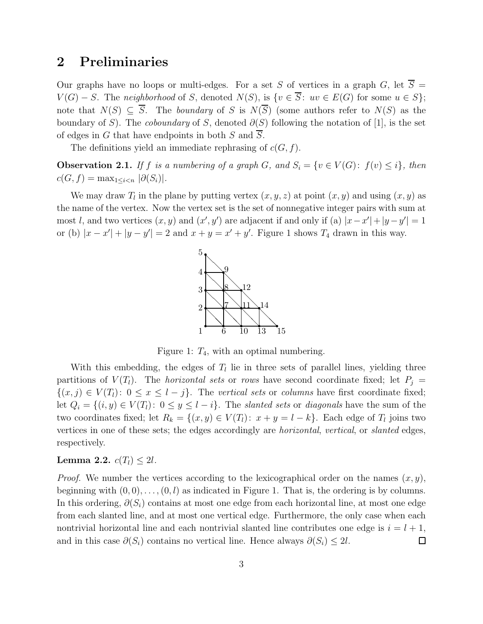### 2 Preliminaries

Our graphs have no loops or multi-edges. For a set S of vertices in a graph G, let  $\overline{S}$  =  $V(G) - S$ . The *neighborhood* of S, denoted  $N(S)$ , is  $\{v \in \overline{S} : uv \in E(G) \text{ for some } u \in S\};$ note that  $N(S) \subseteq \overline{S}$ . The *boundary* of S is  $N(\overline{S})$  (some authors refer to  $N(S)$  as the boundary of S). The *coboundary* of S, denoted  $\partial(S)$  following the notation of [1], is the set of edges in G that have endpoints in both S and S.

The definitions yield an immediate rephrasing of  $c(G, f)$ .

**Observation 2.1.** *If* f *is a numbering of a graph* G, and  $S_i = \{v \in V(G): f(v) \leq i\}$ , then  $c(G, f) = \max_{1 \leq i < n} |\partial(S_i)|$ .

We may draw  $T_l$  in the plane by putting vertex  $(x, y, z)$  at point  $(x, y)$  and using  $(x, y)$  as the name of the vertex. Now the vertex set is the set of nonnegative integer pairs with sum at most l, and two vertices  $(x, y)$  and  $(x', y')$  are adjacent if and only if (a)  $|x-x'| + |y-y'| = 1$ or (b)  $|x-x'|+|y-y'|=2$  and  $x+y=x'+y'$ . Figure 1 shows  $T_4$  drawn in this way.



Figure 1:  $T_4$ , with an optimal numbering.

With this embedding, the edges of  $T_l$  lie in three sets of parallel lines, yielding three partitions of  $V(T_i)$ . The *horizontal sets* or *rows* have second coordinate fixed; let  $P_j =$  $\{(x, j) \in V(T_l): 0 \le x \le l - j\}.$  The *vertical sets* or *columns* have first coordinate fixed; let  $Q_i = \{(i, y) \in V(T_l): 0 \leq y \leq l - i\}$ . The *slanted sets* or *diagonals* have the sum of the two coordinates fixed; let  $R_k = \{(x, y) \in V(T_l): x + y = l - k\}$ . Each edge of  $T_l$  joins two vertices in one of these sets; the edges accordingly are *horizontal*, *vertical*, or *slanted* edges, respectively.

#### **Lemma 2.2.**  $c(T_l) \leq 2l$ .

*Proof.* We number the vertices according to the lexicographical order on the names  $(x, y)$ , beginning with  $(0, 0), \ldots, (0, l)$  as indicated in Figure 1. That is, the ordering is by columns. In this ordering,  $\partial(S_i)$  contains at most one edge from each horizontal line, at most one edge from each slanted line, and at most one vertical edge. Furthermore, the only case when each nontrivial horizontal line and each nontrivial slanted line contributes one edge is  $i = l + 1$ , and in this case  $\partial(S_i)$  contains no vertical line. Hence always  $\partial(S_i) \leq 2l$ .  $\Box$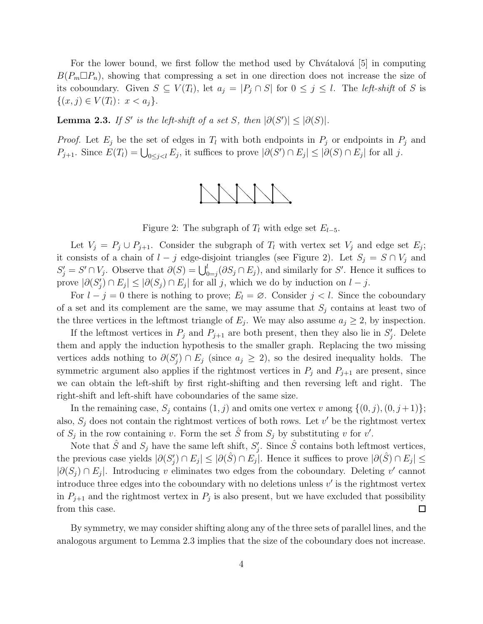For the lower bound, we first follow the method used by Chvátalová  $|5|$  in computing  $B(P_m \Box P_n)$ , showing that compressing a set in one direction does not increase the size of its coboundary. Given  $S \subseteq V(T_l)$ , let  $a_j = |P_j \cap S|$  for  $0 \le j \le l$ . The *left-shift* of S is  $\{(x, j) \in V(T_l): x < a_j\}.$ 

**Lemma 2.3.** *If* S' is the left-shift of a set S, then  $|\partial(S')| \leq |\partial(S)|$ .

*Proof.* Let  $E_j$  be the set of edges in  $T_l$  with both endpoints in  $P_j$  or endpoints in  $P_j$  and  $P_{j+1}$ . Since  $E(T_i) = \bigcup_{0 \leq j < l} E_j$ , it suffices to prove  $|\partial(S') \cap E_j| \leq |\partial(S) \cap E_j|$  for all j.



Figure 2: The subgraph of  $T_l$  with edge set  $E_{l-5}$ .

Let  $V_j = P_j \cup P_{j+1}$ . Consider the subgraph of  $T_l$  with vertex set  $V_j$  and edge set  $E_j$ ; it consists of a chain of  $l - j$  edge-disjoint triangles (see Figure 2). Let  $S_j = S \cap V_j$  and  $S'_j = S' \cap V_j$ . Observe that  $\partial(S) = \bigcup_{0=j}^l (\partial S_j \cap E_j)$ , and similarly for S'. Hence it suffices to prove  $|\partial(S'_j) \cap E_j| \leq |\partial(S_j) \cap E_j|$  for all j, which we do by induction on  $l - j$ .

For  $l - j = 0$  there is nothing to prove;  $E_l = \emptyset$ . Consider  $j < l$ . Since the coboundary of a set and its complement are the same, we may assume that  $S_i$  contains at least two of the three vertices in the leftmost triangle of  $E_j$ . We may also assume  $a_j \geq 2$ , by inspection.

If the leftmost vertices in  $P_j$  and  $P_{j+1}$  are both present, then they also lie in  $S'_j$ . Delete them and apply the induction hypothesis to the smaller graph. Replacing the two missing vertices adds nothing to  $\partial(S'_j) \cap E_j$  (since  $a_j \geq 2$ ), so the desired inequality holds. The symmetric argument also applies if the rightmost vertices in  $P_j$  and  $P_{j+1}$  are present, since we can obtain the left-shift by first right-shifting and then reversing left and right. The right-shift and left-shift have coboundaries of the same size.

In the remaining case,  $S_i$  contains  $(1, j)$  and omits one vertex v among  $\{(0, j), (0, j + 1)\};$ also,  $S_j$  does not contain the rightmost vertices of both rows. Let  $v'$  be the rightmost vertex of  $S_j$  in the row containing v. Form the set  $\hat{S}$  from  $S_j$  by substituting v for v'.

Note that  $\hat{S}$  and  $S_j$  have the same left shift,  $S'_j$ . Since  $\hat{S}$  contains both leftmost vertices, the previous case yields  $|\partial(S'_j) \cap E_j| \leq |\partial(\hat{S}) \cap E_j|$ . Hence it suffices to prove  $|\partial(\hat{S}) \cap E_j| \leq$  $|\partial(S_j) \cap E_j|$ . Introducing v eliminates two edges from the coboundary. Deleting v' cannot introduce three edges into the coboundary with no deletions unless  $v'$  is the rightmost vertex in  $P_{j+1}$  and the rightmost vertex in  $P_j$  is also present, but we have excluded that possibility from this case.  $\Box$ 

By symmetry, we may consider shifting along any of the three sets of parallel lines, and the analogous argument to Lemma 2.3 implies that the size of the coboundary does not increase.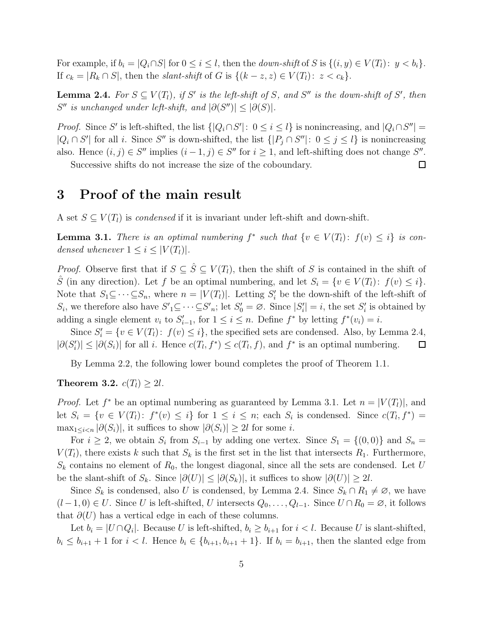For example, if  $b_i = |Q_i \cap S|$  for  $0 \le i \le l$ , then the *down-shift* of S is  $\{(i, y) \in V(T_l): y < b_i\}$ . If  $c_k = |R_k \cap S|$ , then the *slant-shift* of G is  $\{(k - z, z) \in V(T_l): z < c_k\}.$ 

**Lemma 2.4.** For  $S \subseteq V(T_l)$ , if  $S'$  is the left-shift of S, and  $S''$  is the down-shift of  $S'$ , then  $S''$  *is unchanged under left-shift, and*  $|\partial(S'')| \leq |\partial(S)|$ *.* 

*Proof.* Since S' is left-shifted, the list  $\{|Q_i \cap S'|: 0 \le i \le l\}$  is nonincreasing, and  $|Q_i \cap S''|$  =  $|Q_i \cap S'|$  for all i. Since S'' is down-shifted, the list  $\{|P_j \cap S''|: 0 \le j \le l\}$  is nonincreasing also. Hence  $(i, j) \in S''$  implies  $(i - 1, j) \in S''$  for  $i \ge 1$ , and left-shifting does not change  $S''$ .  $\Box$ 

Successive shifts do not increase the size of the coboundary.

### 3 Proof of the main result

A set  $S \subseteq V(T_l)$  is *condensed* if it is invariant under left-shift and down-shift.

**Lemma 3.1.** *There is an optimal numbering*  $f^*$  *such that*  $\{v \in V(T_l): f(v) \leq i\}$  *is condensed whenever*  $1 \leq i \leq |V(T_i)|$ .

*Proof.* Observe first that if  $S \subseteq \hat{S} \subseteq V(T_l)$ , then the shift of S is contained in the shift of  $\hat{S}$  (in any direction). Let f be an optimal numbering, and let  $S_i = \{v \in V(T_i): f(v) \leq i\}.$ Note that  $S_1 \subseteq \cdots \subseteq S_n$ , where  $n = |V(T_i)|$ . Letting  $S_i'$  be the down-shift of the left-shift of  $S_i$ , we therefore also have  $S'_{1} \subseteq \cdots \subseteq S'_{n}$ ; let  $S'_{0} = \emptyset$ . Since  $|S'_{i}| = i$ , the set  $S'_{i}$  is obtained by adding a single element  $v_i$  to  $S'_{i-1}$ , for  $1 \leq i \leq n$ . Define  $f^*$  by letting  $f^*(v_i) = i$ .

Since  $S_i' = \{v \in V(T_l): f(v) \leq i\}$ , the specified sets are condensed. Also, by Lemma 2.4,  $|\partial(S'_i)| \leq |\partial(S_i)|$  for all i. Hence  $c(T_l, f^*) \leq c(T_l, f)$ , and  $f^*$  is an optimal numbering.  $\Box$ 

By Lemma 2.2, the following lower bound completes the proof of Theorem 1.1.

Theorem 3.2.  $c(T_l) \geq 2l$ .

*Proof.* Let  $f^*$  be an optimal numbering as guaranteed by Lemma 3.1. Let  $n = |V(T_l)|$ , and let  $S_i = \{v \in V(T_i): f^*(v) \leq i\}$  for  $1 \leq i \leq n$ ; each  $S_i$  is condensed. Since  $c(T_i, f^*)$  $\max_{1 \leq i < n} |\partial(S_i)|$ , it suffices to show  $|\partial(S_i)| \geq 2l$  for some *i*.

For  $i \geq 2$ , we obtain  $S_i$  from  $S_{i-1}$  by adding one vertex. Since  $S_1 = \{(0,0)\}\$  and  $S_n =$  $V(T_l)$ , there exists k such that  $S_k$  is the first set in the list that intersects  $R_1$ . Furthermore,  $S_k$  contains no element of  $R_0$ , the longest diagonal, since all the sets are condensed. Let U be the slant-shift of  $S_k$ . Since  $|\partial(U)| \leq |\partial(S_k)|$ , it suffices to show  $|\partial(U)| \geq 2l$ .

Since  $S_k$  is condensed, also U is condensed, by Lemma 2.4. Since  $S_k \cap R_1 \neq \emptyset$ , we have  $(l-1, 0) \in U$ . Since U is left-shifted, U intersects  $Q_0, \ldots, Q_{l-1}$ . Since  $U \cap R_0 = \emptyset$ , it follows that  $\partial(U)$  has a vertical edge in each of these columns.

Let  $b_i = |U \cap Q_i|$ . Because U is left-shifted,  $b_i \ge b_{i+1}$  for  $i < l$ . Because U is slant-shifted,  $b_i \leq b_{i+1} + 1$  for  $i < l$ . Hence  $b_i \in \{b_{i+1}, b_{i+1} + 1\}$ . If  $b_i = b_{i+1}$ , then the slanted edge from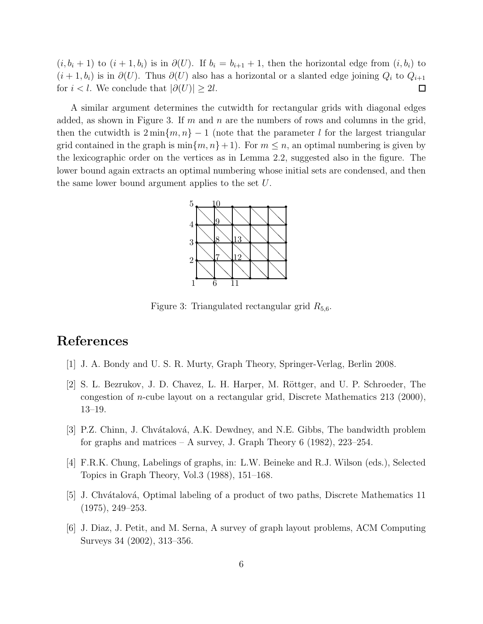$(i, b_i + 1)$  to  $(i + 1, b_i)$  is in  $\partial(U)$ . If  $b_i = b_{i+1} + 1$ , then the horizontal edge from  $(i, b_i)$  to  $(i + 1, b_i)$  is in  $\partial(U)$ . Thus  $\partial(U)$  also has a horizontal or a slanted edge joining  $Q_i$  to  $Q_{i+1}$ for  $i < l$ . We conclude that  $|\partial(U)| > 2l$ .  $\Box$ 

A similar argument determines the cutwidth for rectangular grids with diagonal edges added, as shown in Figure 3. If m and n are the numbers of rows and columns in the grid, then the cutwidth is  $2 \min\{m, n\} - 1$  (note that the parameter l for the largest triangular grid contained in the graph is  $\min\{m, n\} + 1$ . For  $m \leq n$ , an optimal numbering is given by the lexicographic order on the vertices as in Lemma 2.2, suggested also in the figure. The lower bound again extracts an optimal numbering whose initial sets are condensed, and then the same lower bound argument applies to the set U.



Figure 3: Triangulated rectangular grid  $R_{5,6}$ .

## References

- [1] J. A. Bondy and U. S. R. Murty, Graph Theory, Springer-Verlag, Berlin 2008.
- [2] S. L. Bezrukov, J. D. Chavez, L. H. Harper, M. Röttger, and U. P. Schroeder, The congestion of *n*-cube layout on a rectangular grid, Discrete Mathematics 213 (2000), 13–19.
- [3] P.Z. Chinn, J. Chvátalová, A.K. Dewdney, and N.E. Gibbs, The bandwidth problem for graphs and matrices – A survey, J. Graph Theory  $6(1982)$ , 223–254.
- [4] F.R.K. Chung, Labelings of graphs, in: L.W. Beineke and R.J. Wilson (eds.), Selected Topics in Graph Theory, Vol.3 (1988), 151–168.
- [5] J. Chvátalová, Optimal labeling of a product of two paths, Discrete Mathematics 11 (1975), 249–253.
- [6] J. Diaz, J. Petit, and M. Serna, A survey of graph layout problems, ACM Computing Surveys 34 (2002), 313–356.